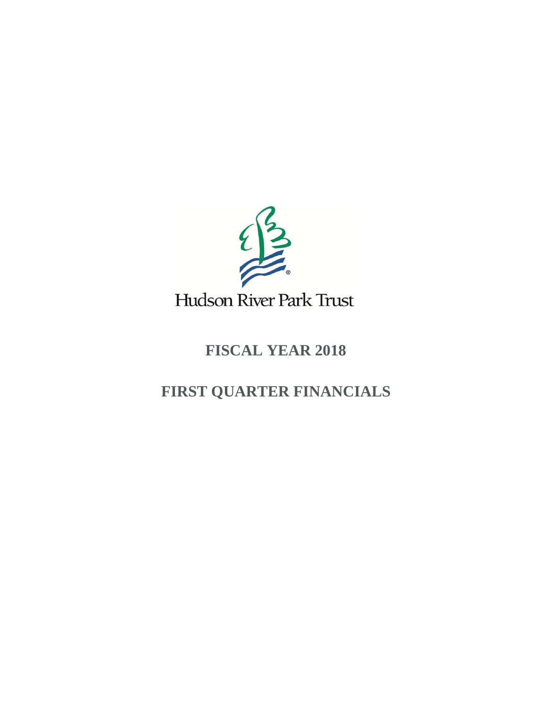

## **FISCAL YEAR 2018**

## **FIRST QUARTER FINANCIALS**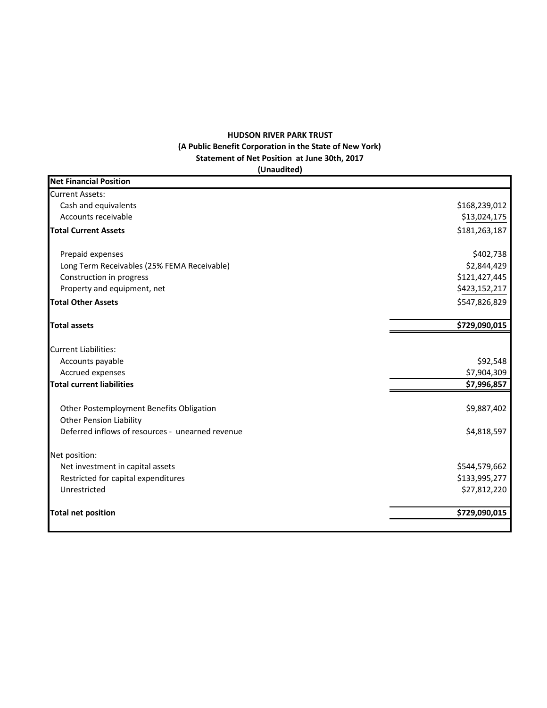## **HUDSON RIVER PARK TRUST (A Public Benefit Corporation in the State of New York) Statement of Net Position at June 30th, 2017 (Unaudited)**

| <b>Net Financial Position</b>                                              |               |
|----------------------------------------------------------------------------|---------------|
| <b>Current Assets:</b>                                                     |               |
| Cash and equivalents                                                       | \$168,239,012 |
| Accounts receivable                                                        | \$13,024,175  |
| <b>Total Current Assets</b>                                                | \$181,263,187 |
| Prepaid expenses                                                           | \$402,738     |
| Long Term Receivables (25% FEMA Receivable)                                | \$2,844,429   |
| Construction in progress                                                   | \$121,427,445 |
| Property and equipment, net                                                | \$423,152,217 |
| <b>Total Other Assets</b>                                                  | \$547,826,829 |
| <b>Total assets</b>                                                        | \$729,090,015 |
| <b>Current Liabilities:</b>                                                |               |
| Accounts payable                                                           | \$92,548      |
| Accrued expenses                                                           | \$7,904,309   |
| <b>Total current liabilities</b>                                           | \$7,996,857   |
| Other Postemployment Benefits Obligation<br><b>Other Pension Liability</b> | \$9,887,402   |
| Deferred inflows of resources - unearned revenue                           | \$4,818,597   |
| Net position:                                                              |               |
| Net investment in capital assets                                           | \$544,579,662 |
| Restricted for capital expenditures                                        | \$133,995,277 |
| Unrestricted                                                               | \$27,812,220  |
| <b>Total net position</b>                                                  | \$729,090,015 |